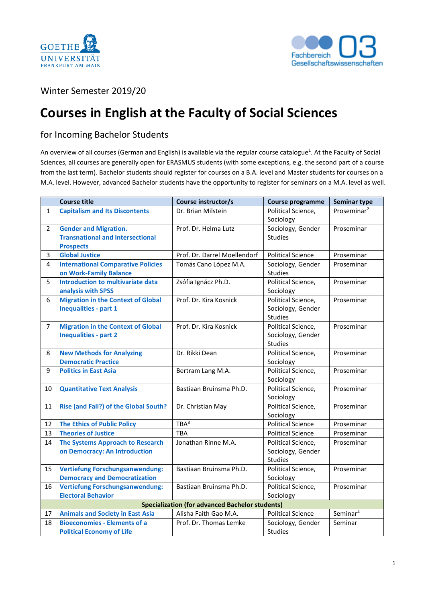



## Winter Semester 2019/20

## **Courses in English at the Faculty of Social Sciences**

## for Incoming Bachelor Students

An overview of all courses (German and English) is available via the regular course catalogue<sup>1</sup>. At the Faculty of Social Sciences, all courses are generally open for ERASMUS students (with some exceptions, e.g. the second part of a course from the last term). Bachelor students should register for courses on a B.A. level and Master students for courses on a M.A. level. However, advanced Bachelor students have the opportunity to register for seminars on a M.A. level as well.

|                | <b>Course title</b>                                                                         | Course instructor/s          | <b>Course programme</b>                                   | <b>Seminar type</b>     |  |  |  |
|----------------|---------------------------------------------------------------------------------------------|------------------------------|-----------------------------------------------------------|-------------------------|--|--|--|
| $\mathbf{1}$   | <b>Capitalism and Its Discontents</b>                                                       | Dr. Brian Milstein           | Political Science,<br>Sociology                           | Proseminar <sup>2</sup> |  |  |  |
| $\overline{2}$ | <b>Gender and Migration.</b><br><b>Transnational and Intersectional</b><br><b>Prospects</b> | Prof. Dr. Helma Lutz         | Sociology, Gender<br><b>Studies</b>                       | Proseminar              |  |  |  |
| $\overline{3}$ | <b>Global Justice</b>                                                                       | Prof. Dr. Darrel Moellendorf | <b>Political Science</b>                                  | Proseminar              |  |  |  |
| 4              | <b>International Comparative Policies</b><br>on Work-Family Balance                         | Tomás Cano López M.A.        | Sociology, Gender<br><b>Studies</b>                       | Proseminar              |  |  |  |
| 5              | <b>Introduction to multivariate data</b><br>analysis with SPSS                              | Zsófia Ignácz Ph.D.          | Political Science,<br>Sociology                           | Proseminar              |  |  |  |
| 6              | <b>Migration in the Context of Global</b><br><b>Inequalities - part 1</b>                   | Prof. Dr. Kira Kosnick       | Political Science,<br>Sociology, Gender<br><b>Studies</b> | Proseminar              |  |  |  |
| $\overline{7}$ | <b>Migration in the Context of Global</b><br><b>Inequalities - part 2</b>                   | Prof. Dr. Kira Kosnick       | Political Science,<br>Sociology, Gender<br><b>Studies</b> | Proseminar              |  |  |  |
| 8              | <b>New Methods for Analyzing</b><br><b>Democratic Practice</b>                              | Dr. Rikki Dean               | Political Science,<br>Sociology                           | Proseminar              |  |  |  |
| 9              | <b>Politics in East Asia</b>                                                                | Bertram Lang M.A.            | Political Science,<br>Sociology                           | Proseminar              |  |  |  |
| 10             | <b>Quantitative Text Analysis</b>                                                           | Bastiaan Bruinsma Ph.D.      | Political Science,<br>Sociology                           | Proseminar              |  |  |  |
| 11             | Rise (and Fall?) of the Global South?                                                       | Dr. Christian May            | Political Science,<br>Sociology                           | Proseminar              |  |  |  |
| 12             | <b>The Ethics of Public Policy</b>                                                          | TBA <sup>3</sup>             | <b>Political Science</b>                                  | Proseminar              |  |  |  |
| 13             | <b>Theories of Justice</b>                                                                  | TBA                          | <b>Political Science</b>                                  | Proseminar              |  |  |  |
| 14             | <b>The Systems Approach to Research</b><br>on Democracy: An Introduction                    | Jonathan Rinne M.A.          | Political Science,<br>Sociology, Gender<br><b>Studies</b> | Proseminar              |  |  |  |
| 15             | <b>Vertiefung Forschungsanwendung:</b><br><b>Democracy and Democratization</b>              | Bastiaan Bruinsma Ph.D.      | Political Science,<br>Sociology                           | Proseminar              |  |  |  |
| 16             | <b>Vertiefung Forschungsanwendung:</b><br><b>Electoral Behavior</b>                         | Bastiaan Bruinsma Ph.D.      | Political Science,<br>Sociology                           | Proseminar              |  |  |  |
|                | <b>Specialization (for advanced Bachelor students)</b>                                      |                              |                                                           |                         |  |  |  |
| 17             | <b>Animals and Society in East Asia</b>                                                     | Alisha Faith Gao M.A.        | <b>Political Science</b>                                  | Seminar <sup>4</sup>    |  |  |  |
| 18             | <b>Bioeconomies - Elements of a</b><br><b>Political Economy of Life</b>                     | Prof. Dr. Thomas Lemke       | Sociology, Gender<br><b>Studies</b>                       | Seminar                 |  |  |  |